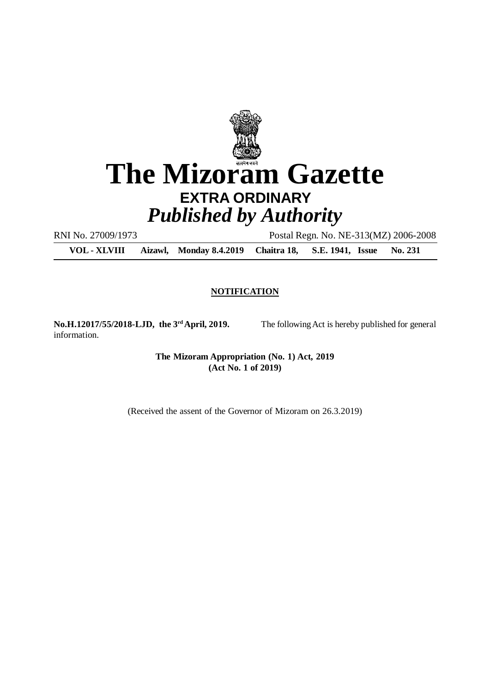

RNI No. 27009/1973 Postal Regn. No. NE-313(MZ) 2006-2008

**VOL - XLVIII Aizawl, Monday 8.4.2019 Chaitra 18, S.E. 1941, Issue No. 231**

#### **NOTIFICATION**

**No.H.12017/55/2018-LJD, the 3rdApril, 2019.** The following Act is hereby published for general information.

**The Mizoram Appropriation (No. 1) Act, 2019 (Act No. 1 of 2019)**

(Received the assent of the Governor of Mizoram on 26.3.2019)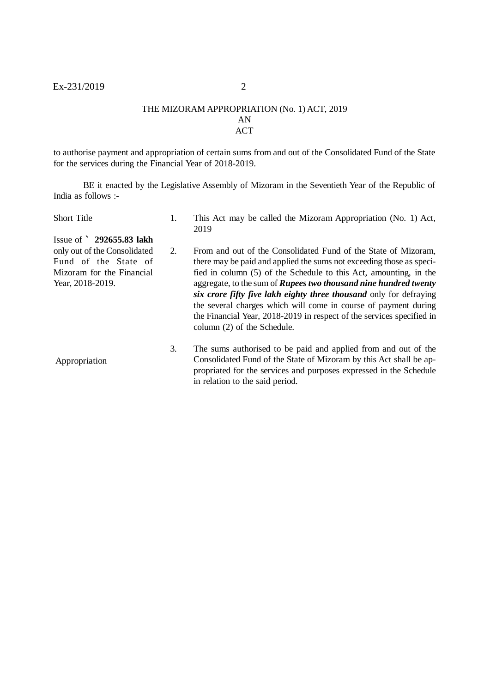#### THE MIZORAM APPROPRIATION (No. 1) ACT, 2019 AN ACT

to authorise payment and appropriation of certain sums from and out of the Consolidated Fund of the State for the services during the Financial Year of 2018-2019.

BE it enacted by the Legislative Assembly of Mizoram in the Seventieth Year of the Republic of India as follows :-

| <b>Short Title</b>                                                                                                                 | 1. | This Act may be called the Mizoram Appropriation (No. 1) Act,<br>2019                                                                                                                                                                                                                                                                                                                                                                                                                                                                   |
|------------------------------------------------------------------------------------------------------------------------------------|----|-----------------------------------------------------------------------------------------------------------------------------------------------------------------------------------------------------------------------------------------------------------------------------------------------------------------------------------------------------------------------------------------------------------------------------------------------------------------------------------------------------------------------------------------|
| Issue of $292655.83$ lakh<br>only out of the Consolidated<br>Fund of the State of<br>Mizoram for the Financial<br>Year, 2018-2019. | 2. | From and out of the Consolidated Fund of the State of Mizoram,<br>there may be paid and applied the sums not exceeding those as speci-<br>fied in column (5) of the Schedule to this Act, amounting, in the<br>aggregate, to the sum of <b>Rupees two thousand nine hundred twenty</b><br>six crore fifty five lakh eighty three thousand only for defraying<br>the several charges which will come in course of payment during<br>the Financial Year, 2018-2019 in respect of the services specified in<br>column (2) of the Schedule. |
| Appropriation                                                                                                                      | 3. | The sums authorised to be paid and applied from and out of the<br>Consolidated Fund of the State of Mizoram by this Act shall be ap-<br>propriated for the services and purposes expressed in the Schedule<br>in relation to the said period.                                                                                                                                                                                                                                                                                           |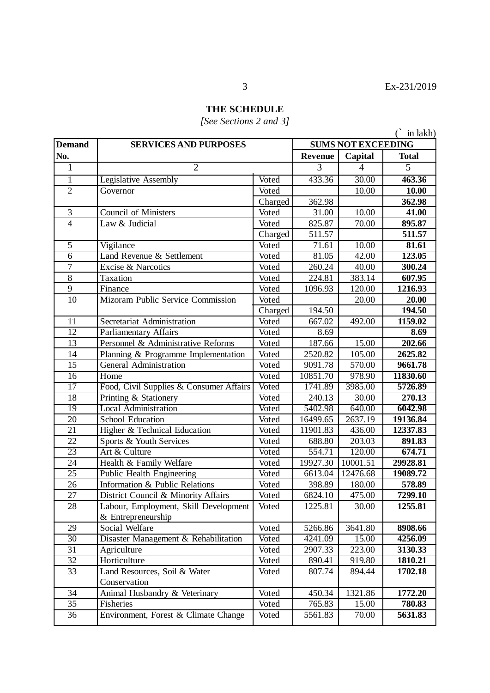# **THE SCHEDULE**

## *[See Sections 2 and 3]*

|                 |                                         |                           |          |              | $\hat{C}$ in lakh) |
|-----------------|-----------------------------------------|---------------------------|----------|--------------|--------------------|
| <b>Demand</b>   | <b>SERVICES AND PURPOSES</b>            | <b>SUMS NOT EXCEEDING</b> |          |              |                    |
| No.             |                                         | <b>Revenue</b>            | Capital  | <b>Total</b> |                    |
| $\mathbf{1}$    | $\overline{2}$                          |                           | 3        | 4            | 5                  |
| $\overline{1}$  | Legislative Assembly                    | Voted                     | 433.36   | 30.00        | 463.36             |
| $\overline{2}$  | Governor                                | Voted                     |          | 10.00        | 10.00              |
|                 |                                         | Charged                   | 362.98   |              | 362.98             |
| 3               | <b>Council of Ministers</b>             | Voted                     | 31.00    | 10.00        | 41.00              |
| $\overline{4}$  | Law & Judicial                          | Voted                     | 825.87   | 70.00        | 895.87             |
|                 |                                         | Charged                   | 511.57   |              | 511.57             |
| $\overline{5}$  | Vigilance                               | Voted                     | 71.61    | 10.00        | 81.61              |
| $\overline{6}$  | Land Revenue & Settlement               | Voted                     | 81.05    | 42.00        | 123.05             |
| $\overline{7}$  | Excise & Narcotics                      | Voted                     | 260.24   | 40.00        | 300.24             |
| 8               | Taxation                                | Voted                     | 224.81   | 383.14       | 607.95             |
| 9               | Finance                                 | Voted                     | 1096.93  | 120.00       | 1216.93            |
| 10              | Mizoram Public Service Commission       | Voted                     |          | 20.00        | 20.00              |
|                 |                                         | Charged                   | 194.50   |              | 194.50             |
| 11              | Secretariat Administration              | Voted                     | 667.02   | 492.00       | 1159.02            |
| $\overline{12}$ | <b>Parliamentary Affairs</b>            | Voted                     | 8.69     |              | 8.69               |
| 13              | Personnel & Administrative Reforms      | Voted                     | 187.66   | 15.00        | 202.66             |
| 14              | Planning & Programme Implementation     | Voted                     | 2520.82  | 105.00       | 2625.82            |
| 15              | <b>General Administration</b>           | Voted                     | 9091.78  | 570.00       | 9661.78            |
| 16              | Home                                    | Voted                     | 10851.70 | 978.90       | 11830.60           |
| 17              | Food, Civil Supplies & Consumer Affairs | Voted                     | 1741.89  | 3985.00      | 5726.89            |
| 18              | Printing & Stationery                   | Voted                     | 240.13   | 30.00        | 270.13             |
| 19              | <b>Local Administration</b>             | Voted                     | 5402.98  | 640.00       | 6042.98            |
| 20              | School Education                        | Voted                     | 16499.65 | 2637.19      | 19136.84           |
| 21              | Higher & Technical Education            | Voted                     | 11901.83 | 436.00       | 12337.83           |
| 22              | Sports & Youth Services                 | Voted                     | 688.80   | 203.03       | 891.83             |
| 23              | Art & Culture                           | Voted                     | 554.71   | 120.00       | 674.71             |
| $\overline{24}$ | Health & Family Welfare                 | Voted                     | 19927.30 | 10001.51     | 29928.81           |
| 25              | Public Health Engineering               | Voted                     | 6613.04  | 12476.68     | 19089.72           |
| 26              | Information & Public Relations          | Voted                     | 398.89   | 180.00       | 578.89             |
| $\overline{27}$ | District Council & Minority Affairs     | Voted                     | 6824.10  | 475.00       | 7299.10            |
| 28              | Labour, Employment, Skill Development   | Voted                     | 1225.81  | 30.00        | 1255.81            |
|                 | & Entrepreneurship                      |                           |          |              |                    |
| 29              | Social Welfare                          | Voted                     | 5266.86  | 3641.80      | 8908.66            |
| $\overline{30}$ | Disaster Management & Rehabilitation    | Voted                     | 4241.09  | 15.00        | 4256.09            |
| $\overline{31}$ | Agriculture                             | Voted                     | 2907.33  | 223.00       | 3130.33            |
| $\overline{32}$ | Horticulture                            | Voted                     | 890.41   | 919.80       | 1810.21            |
| 33              | Land Resources, Soil & Water            | Voted                     | 807.74   | 894.44       | 1702.18            |
|                 | Conservation                            |                           |          |              |                    |
| 34              | Animal Husbandry & Veterinary           | Voted                     | 450.34   | 1321.86      | 1772.20            |
| $\overline{35}$ | Fisheries                               | Voted                     | 765.83   | 15.00        | 780.83             |
| 36              | Environment, Forest & Climate Change    | Voted                     | 5561.83  | 70.00        | 5631.83            |